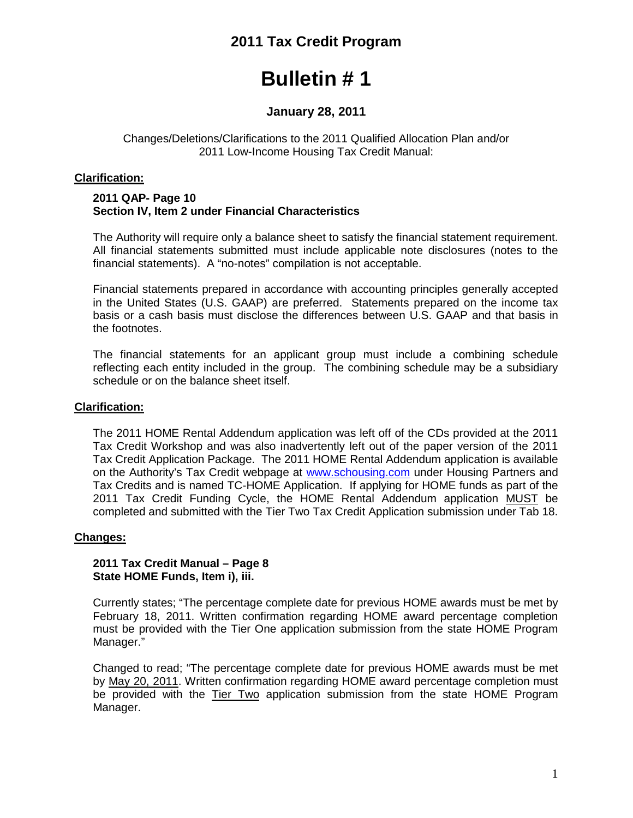## **2011 Tax Credit Program**

# **Bulletin # 1**

### **January 28, 2011**

#### Changes/Deletions/Clarifications to the 2011 Qualified Allocation Plan and/or 2011 Low-Income Housing Tax Credit Manual:

#### **Clarification:**

#### **2011 QAP- Page 10 Section IV, Item 2 under Financial Characteristics**

The Authority will require only a balance sheet to satisfy the financial statement requirement. All financial statements submitted must include applicable note disclosures (notes to the financial statements). A "no-notes" compilation is not acceptable.

Financial statements prepared in accordance with accounting principles generally accepted in the United States (U.S. GAAP) are preferred. Statements prepared on the income tax basis or a cash basis must disclose the differences between U.S. GAAP and that basis in the footnotes.

The financial statements for an applicant group must include a combining schedule reflecting each entity included in the group. The combining schedule may be a subsidiary schedule or on the balance sheet itself.

#### **Clarification:**

The 2011 HOME Rental Addendum application was left off of the CDs provided at the 2011 Tax Credit Workshop and was also inadvertently left out of the paper version of the 2011 Tax Credit Application Package. The 2011 HOME Rental Addendum application is available on the Authority's Tax Credit webpage at [www.schousing.com](http://www.schousing.com/) under Housing Partners and Tax Credits and is named TC-HOME Application. If applying for HOME funds as part of the 2011 Tax Credit Funding Cycle, the HOME Rental Addendum application MUST be completed and submitted with the Tier Two Tax Credit Application submission under Tab 18.

#### **Changes:**

#### **2011 Tax Credit Manual – Page 8 State HOME Funds, Item i), iii.**

Currently states; "The percentage complete date for previous HOME awards must be met by February 18, 2011. Written confirmation regarding HOME award percentage completion must be provided with the Tier One application submission from the state HOME Program Manager."

Changed to read; "The percentage complete date for previous HOME awards must be met by May 20, 2011. Written confirmation regarding HOME award percentage completion must be provided with the Tier Two application submission from the state HOME Program Manager.